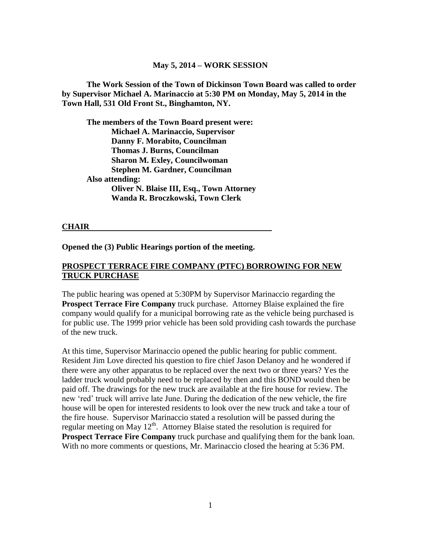#### **May 5, 2014 – WORK SESSION**

**The Work Session of the Town of Dickinson Town Board was called to order by Supervisor Michael A. Marinaccio at 5:30 PM on Monday, May 5, 2014 in the Town Hall, 531 Old Front St., Binghamton, NY.**

**The members of the Town Board present were: Michael A. Marinaccio, Supervisor Danny F. Morabito, Councilman Thomas J. Burns, Councilman Sharon M. Exley, Councilwoman Stephen M. Gardner, Councilman Also attending: Oliver N. Blaise III, Esq., Town Attorney Wanda R. Broczkowski, Town Clerk**

#### **CHAIR**

**Opened the (3) Public Hearings portion of the meeting.**

#### **PROSPECT TERRACE FIRE COMPANY (PTFC) BORROWING FOR NEW TRUCK PURCHASE**

The public hearing was opened at 5:30PM by Supervisor Marinaccio regarding the **Prospect Terrace Fire Company** truck purchase. Attorney Blaise explained the fire company would qualify for a municipal borrowing rate as the vehicle being purchased is for public use. The 1999 prior vehicle has been sold providing cash towards the purchase of the new truck.

At this time, Supervisor Marinaccio opened the public hearing for public comment. Resident Jim Love directed his question to fire chief Jason Delanoy and he wondered if there were any other apparatus to be replaced over the next two or three years? Yes the ladder truck would probably need to be replaced by then and this BOND would then be paid off. The drawings for the new truck are available at the fire house for review. The new 'red' truck will arrive late June. During the dedication of the new vehicle, the fire house will be open for interested residents to look over the new truck and take a tour of the fire house. Supervisor Marinaccio stated a resolution will be passed during the regular meeting on May  $12<sup>th</sup>$ . Attorney Blaise stated the resolution is required for **Prospect Terrace Fire Company** truck purchase and qualifying them for the bank loan. With no more comments or questions, Mr. Marinaccio closed the hearing at 5:36 PM.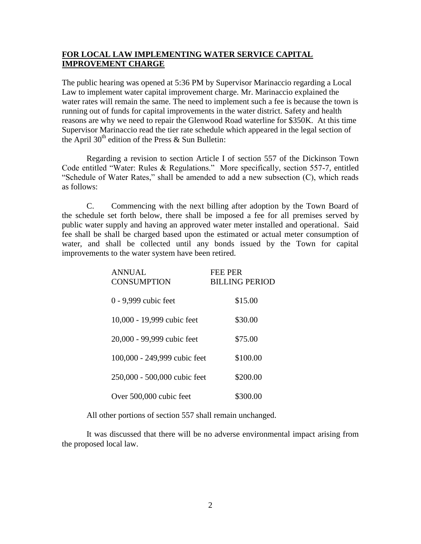### **FOR LOCAL LAW IMPLEMENTING WATER SERVICE CAPITAL IMPROVEMENT CHARGE**

The public hearing was opened at 5:36 PM by Supervisor Marinaccio regarding a Local Law to implement water capital improvement charge. Mr. Marinaccio explained the water rates will remain the same. The need to implement such a fee is because the town is running out of funds for capital improvements in the water district. Safety and health reasons are why we need to repair the Glenwood Road waterline for \$350K. At this time Supervisor Marinaccio read the tier rate schedule which appeared in the legal section of the April  $30<sup>th</sup>$  edition of the Press & Sun Bulletin:

Regarding a revision to section Article I of section 557 of the Dickinson Town Code entitled "Water: Rules & Regulations." More specifically, section 557-7, entitled "Schedule of Water Rates," shall be amended to add a new subsection (C), which reads as follows:

C. Commencing with the next billing after adoption by the Town Board of the schedule set forth below, there shall be imposed a fee for all premises served by public water supply and having an approved water meter installed and operational. Said fee shall be shall be charged based upon the estimated or actual meter consumption of water, and shall be collected until any bonds issued by the Town for capital improvements to the water system have been retired.

| <b>ANNUAL</b><br><b>CONSUMPTION</b> | <b>FEE PER</b><br><b>BILLING PERIOD</b> |
|-------------------------------------|-----------------------------------------|
| 0 - 9,999 cubic feet                | \$15.00                                 |
| 10,000 - 19,999 cubic feet          | \$30.00                                 |
| 20,000 - 99,999 cubic feet          | \$75.00                                 |
| 100,000 - 249,999 cubic feet        | \$100.00                                |
| 250,000 - 500,000 cubic feet        | \$200.00                                |
| Over 500,000 cubic feet             | \$300.00                                |

All other portions of section 557 shall remain unchanged.

It was discussed that there will be no adverse environmental impact arising from the proposed local law.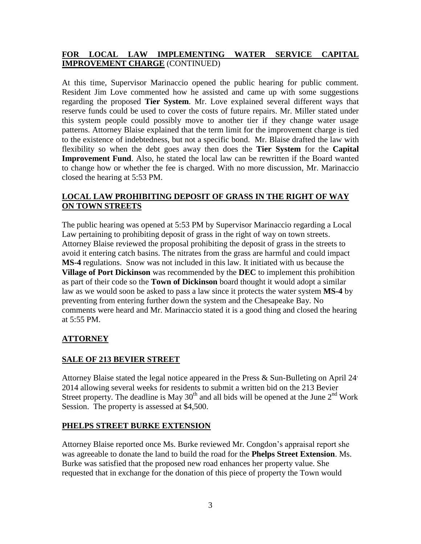# **FOR LOCAL LAW IMPLEMENTING WATER SERVICE CAPITAL IMPROVEMENT CHARGE** (CONTINUED)

At this time, Supervisor Marinaccio opened the public hearing for public comment. Resident Jim Love commented how he assisted and came up with some suggestions regarding the proposed **Tier System**. Mr. Love explained several different ways that reserve funds could be used to cover the costs of future repairs. Mr. Miller stated under this system people could possibly move to another tier if they change water usage patterns. Attorney Blaise explained that the term limit for the improvement charge is tied to the existence of indebtedness, but not a specific bond. Mr. Blaise drafted the law with flexibility so when the debt goes away then does the **Tier System** for the **Capital Improvement Fund**. Also, he stated the local law can be rewritten if the Board wanted to change how or whether the fee is charged. With no more discussion, Mr. Marinaccio closed the hearing at 5:53 PM.

## **LOCAL LAW PROHIBITING DEPOSIT OF GRASS IN THE RIGHT OF WAY ON TOWN STREETS**

The public hearing was opened at 5:53 PM by Supervisor Marinaccio regarding a Local Law pertaining to prohibiting deposit of grass in the right of way on town streets. Attorney Blaise reviewed the proposal prohibiting the deposit of grass in the streets to avoid it entering catch basins. The nitrates from the grass are harmful and could impact **MS-4** regulations. Snow was not included in this law. It initiated with us because the **Village of Port Dickinson** was recommended by the **DEC** to implement this prohibition as part of their code so the **Town of Dickinson** board thought it would adopt a similar law as we would soon be asked to pass a law since it protects the water system **MS-4** by preventing from entering further down the system and the Chesapeake Bay. No comments were heard and Mr. Marinaccio stated it is a good thing and closed the hearing at 5:55 PM.

# **ATTORNEY**

### **SALE OF 213 BEVIER STREET**

Attorney Blaise stated the legal notice appeared in the Press & Sun-Bulleting on April 24, 2014 allowing several weeks for residents to submit a written bid on the 213 Bevier Street property. The deadline is May  $30<sup>th</sup>$  and all bids will be opened at the June  $2<sup>nd</sup>$  Work Session. The property is assessed at \$4,500.

### **PHELPS STREET BURKE EXTENSION**

Attorney Blaise reported once Ms. Burke reviewed Mr. Congdon's appraisal report she was agreeable to donate the land to build the road for the **Phelps Street Extension**. Ms. Burke was satisfied that the proposed new road enhances her property value. She requested that in exchange for the donation of this piece of property the Town would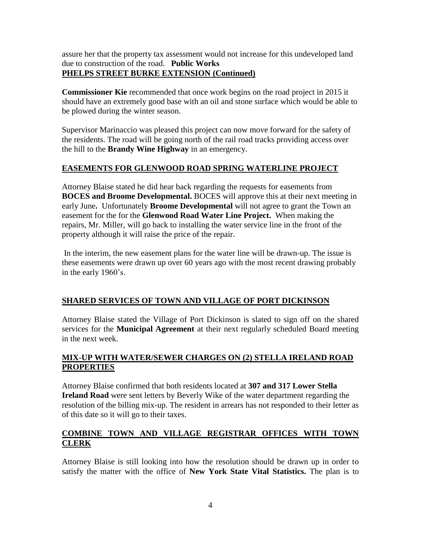assure her that the property tax assessment would not increase for this undeveloped land due to construction of the road. **Public Works PHELPS STREET BURKE EXTENSION (Continued)**

**Commissioner Kie** recommended that once work begins on the road project in 2015 it should have an extremely good base with an oil and stone surface which would be able to be plowed during the winter season.

Supervisor Marinaccio was pleased this project can now move forward for the safety of the residents. The road will be going north of the rail road tracks providing access over the hill to the **Brandy Wine Highway** in an emergency.

# **EASEMENTS FOR GLENWOOD ROAD SPRING WATERLINE PROJECT**

Attorney Blaise stated he did hear back regarding the requests for easements from **BOCES and Broome Developmental.** BOCES will approve this at their next meeting in early June**.** Unfortunately **Broome Developmental** will not agree to grant the Town an easement for the for the **Glenwood Road Water Line Project.** When making the repairs, Mr. Miller, will go back to installing the water service line in the front of the property although it will raise the price of the repair.

In the interim, the new easement plans for the water line will be drawn-up. The issue is these easements were drawn up over 60 years ago with the most recent drawing probably in the early 1960's.

# **SHARED SERVICES OF TOWN AND VILLAGE OF PORT DICKINSON**

Attorney Blaise stated the Village of Port Dickinson is slated to sign off on the shared services for the **Municipal Agreement** at their next regularly scheduled Board meeting in the next week.

### **MIX-UP WITH WATER/SEWER CHARGES ON (2) STELLA IRELAND ROAD PROPERTIES**

Attorney Blaise confirmed that both residents located at **307 and 317 Lower Stella Ireland Road** were sent letters by Beverly Wike of the water department regarding the resolution of the billing mix-up. The resident in arrears has not responded to their letter as of this date so it will go to their taxes.

### **COMBINE TOWN AND VILLAGE REGISTRAR OFFICES WITH TOWN CLERK**

Attorney Blaise is still looking into how the resolution should be drawn up in order to satisfy the matter with the office of **New York State Vital Statistics.** The plan is to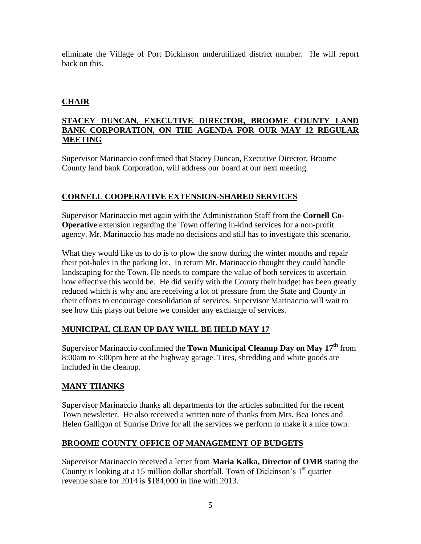eliminate the Village of Port Dickinson underutilized district number. He will report back on this.

# **CHAIR**

### **STACEY DUNCAN, EXECUTIVE DIRECTOR, BROOME COUNTY LAND BANK CORPORATION, ON THE AGENDA FOR OUR MAY 12 REGULAR MEETING**

Supervisor Marinaccio confirmed that Stacey Duncan, Executive Director, Broome County land bank Corporation, will address our board at our next meeting.

# **CORNELL COOPERATIVE EXTENSION-SHARED SERVICES**

Supervisor Marinaccio met again with the Administration Staff from the **Cornell Co-Operative** extension regarding the Town offering in-kind services for a non-profit agency. Mr. Marinaccio has made no decisions and still has to investigate this scenario.

What they would like us to do is to plow the snow during the winter months and repair their pot-holes in the parking lot. In return Mr. Marinaccio thought they could handle landscaping for the Town. He needs to compare the value of both services to ascertain how effective this would be. He did verify with the County their budget has been greatly reduced which is why and are receiving a lot of pressure from the State and County in their efforts to encourage consolidation of services. Supervisor Marinaccio will wait to see how this plays out before we consider any exchange of services.

# **MUNICIPAL CLEAN UP DAY WILL BE HELD MAY 17**

Supervisor Marinaccio confirmed the **Town Municipal Cleanup Day on May 17th** from 8:00am to 3:00pm here at the highway garage. Tires, shredding and white goods are included in the cleanup.

# **MANY THANKS**

Supervisor Marinaccio thanks all departments for the articles submitted for the recent Town newsletter. He also received a written note of thanks from Mrs. Bea Jones and Helen Galligon of Sunrise Drive for all the services we perform to make it a nice town.

### **BROOME COUNTY OFFICE OF MANAGEMENT OF BUDGETS**

Supervisor Marinaccio received a letter from **Maria Kalka, Director of OMB** stating the County is looking at a 15 million dollar shortfall. Town of Dickinson's 1<sup>st</sup> quarter revenue share for 2014 is \$184,000 in line with 2013.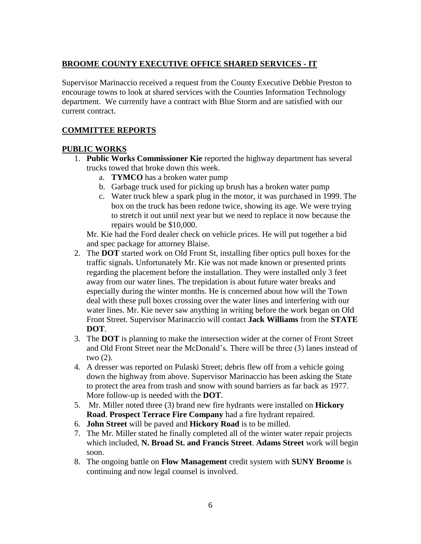# **BROOME COUNTY EXECUTIVE OFFICE SHARED SERVICES - IT**

Supervisor Marinaccio received a request from the County Executive Debbie Preston to encourage towns to look at shared services with the Counties Information Technology department. We currently have a contract with Blue Storm and are satisfied with our current contract.

## **COMMITTEE REPORTS**

### **PUBLIC WORKS**

- 1. **Public Works Commissioner Kie** reported the highway department has several trucks towed that broke down this week.
	- a. **TYMCO** has a broken water pump
	- b. Garbage truck used for picking up brush has a broken water pump
	- c. Water truck blew a spark plug in the motor, it was purchased in 1999. The box on the truck has been redone twice, showing its age. We were trying to stretch it out until next year but we need to replace it now because the repairs would be \$10,000.

Mr. Kie had the Ford dealer check on vehicle prices. He will put together a bid and spec package for attorney Blaise.

- 2. The **DOT** started work on Old Front St, installing fiber optics pull boxes for the traffic signals. Unfortunately Mr. Kie was not made known or presented prints regarding the placement before the installation. They were installed only 3 feet away from our water lines. The trepidation is about future water breaks and especially during the winter months. He is concerned about how will the Town deal with these pull boxes crossing over the water lines and interfering with our water lines. Mr. Kie never saw anything in writing before the work began on Old Front Street. Supervisor Marinaccio will contact **Jack Williams** from the **STATE DOT**.
- 3. The **DOT** is planning to make the intersection wider at the corner of Front Street and Old Front Street near the McDonald's. There will be three (3) lanes instead of two (2).
- 4. A dresser was reported on Pulaski Street; debris flew off from a vehicle going down the highway from above. Supervisor Marinaccio has been asking the State to protect the area from trash and snow with sound barriers as far back as 1977. More follow-up is needed with the **DOT**.
- 5. Mr. Miller noted three (3) brand new fire hydrants were installed on **Hickory Road**. **Prospect Terrace Fire Company** had a fire hydrant repaired.
- 6. **John Street** will be paved and **Hickory Road** is to be milled.
- 7. The Mr. Miller stated he finally completed all of the winter water repair projects which included, **N. Broad St. and Francis Street**. **Adams Street** work will begin soon.
- 8. The ongoing battle on **Flow Management** credit system with **SUNY Broome** is continuing and now legal counsel is involved.